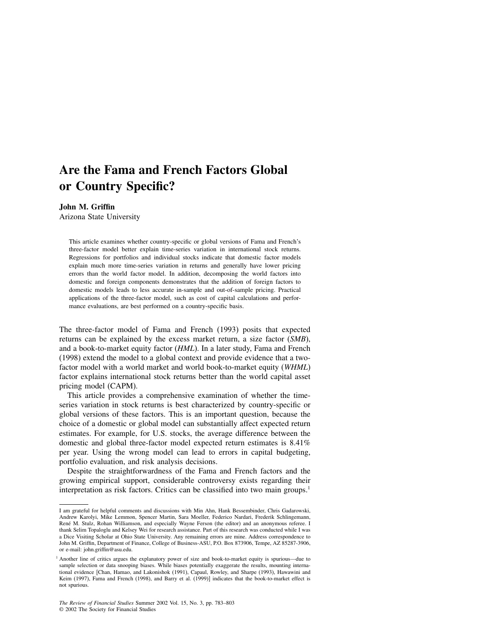# Are the Fama and French Factors Global or Country Specific?

### John M. Griffin

Arizona State University

This article examines whether country-specific or global versions of Fama and French's three-factor model better explain time-series variation in international stock returns. Regressions for portfolios and individual stocks indicate that domestic factor models explain much more time-series variation in returns and generally have lower pricing errors than the world factor model. In addition, decomposing the world factors into domestic and foreign components demonstrates that the addition of foreign factors to domestic models leads to less accurate in-sample and out-of-sample pricing. Practical applications of the three-factor model, such as cost of capital calculations and performance evaluations, are best performed on a country-specific basis.

The three-factor model of Fama and French (1993) posits that expected returns can be explained by the excess market return, a size factor (*SMB*), and a book-to-market equity factor (*HML*). In a later study, Fama and French (1998) extend the model to a global context and provide evidence that a twofactor model with a world market and world book-to-market equity (*WHML*) factor explains international stock returns better than the world capital asset pricing model (CAPM).

This article provides a comprehensive examination of whether the timeseries variation in stock returns is best characterized by country-specific or global versions of these factors. This is an important question, because the choice of a domestic or global model can substantially affect expected return estimates. For example, for U.S. stocks, the average difference between the domestic and global three-factor model expected return estimates is 8.41% per year. Using the wrong model can lead to errors in capital budgeting, portfolio evaluation, and risk analysis decisions.

Despite the straightforwardness of the Fama and French factors and the growing empirical support, considerable controversy exists regarding their interpretation as risk factors. Critics can be classified into two main groups.<sup>1</sup>

I am grateful for helpful comments and discussions with Min Ahn, Hank Bessembinder, Chris Gadarowski, Andrew Karolyi, Mike Lemmon, Spencer Martin, Sara Moeller, Federico Nardari, Frederik Schlingemann, René M. Stulz, Rohan Williamson, and especially Wayne Ferson (the editor) and an anonymous referee. I thank Selim Topaloglu and Kelsey Wei for research assistance. Part of this research was conducted while I was a Dice Visiting Scholar at Ohio State University. Any remaining errors are mine. Address correspondence to John M. Griffin, Department of Finance, College of Business-ASU, P.O. Box 873906, Tempe, AZ 85287-3906, or e-mail: john.griffin@asu.edu.

<sup>&</sup>lt;sup>1</sup> Another line of critics argues the explanatory power of size and book-to-market equity is spurious—due to sample selection or data snooping biases. While biases potentially exaggerate the results, mounting international evidence [Chan, Hamao, and Lakonishok (1991), Capaul, Rowley, and Sharpe (1993), Hawawini and Keim (1997), Fama and French (1998), and Barry et al. (1999)] indicates that the book-to-market effect is not spurious.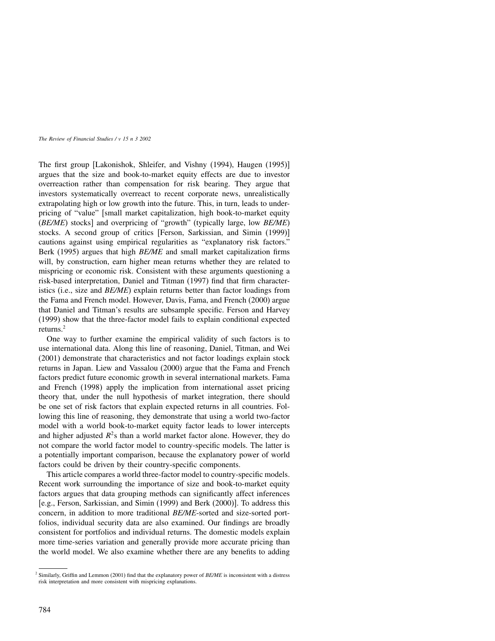The first group [Lakonishok, Shleifer, and Vishny (1994), Haugen (1995)] argues that the size and book-to-market equity effects are due to investor overreaction rather than compensation for risk bearing. They argue that investors systematically overreact to recent corporate news, unrealistically extrapolating high or low growth into the future. This, in turn, leads to underpricing of "value" [small market capitalization, high book-to-market equity (*BE/ME*) stocks] and overpricing of "growth" (typically large, low *BE/ME*) stocks. A second group of critics [Ferson, Sarkissian, and Simin (1999)] cautions against using empirical regularities as "explanatory risk factors." Berk (1995) argues that high *BE/ME* and small market capitalization firms will, by construction, earn higher mean returns whether they are related to mispricing or economic risk. Consistent with these arguments questioning a risk-based interpretation, Daniel and Titman (1997) find that firm characteristics (i.e., size and *BE/ME*) explain returns better than factor loadings from the Fama and French model. However, Davis, Fama, and French (2000) argue that Daniel and Titman's results are subsample specific. Ferson and Harvey (1999) show that the three-factor model fails to explain conditional expected returns.2

One way to further examine the empirical validity of such factors is to use international data. Along this line of reasoning, Daniel, Titman, and Wei (2001) demonstrate that characteristics and not factor loadings explain stock returns in Japan. Liew and Vassalou (2000) argue that the Fama and French factors predict future economic growth in several international markets. Fama and French (1998) apply the implication from international asset pricing theory that, under the null hypothesis of market integration, there should be one set of risk factors that explain expected returns in all countries. Following this line of reasoning, they demonstrate that using a world two-factor model with a world book-to-market equity factor leads to lower intercepts and higher adjusted  $R^2$ s than a world market factor alone. However, they do not compare the world factor model to country-specific models. The latter is a potentially important comparison, because the explanatory power of world factors could be driven by their country-specific components.

This article compares a world three-factor model to country-specific models. Recent work surrounding the importance of size and book-to-market equity factors argues that data grouping methods can significantly affect inferences [e.g., Ferson, Sarkissian, and Simin (1999) and Berk (2000)]. To address this concern, in addition to more traditional *BE/ME*-sorted and size-sorted portfolios, individual security data are also examined. Our findings are broadly consistent for portfolios and individual returns. The domestic models explain more time-series variation and generally provide more accurate pricing than the world model. We also examine whether there are any benefits to adding

<sup>&</sup>lt;sup>2</sup> Similarly, Griffin and Lemmon (2001) find that the explanatory power of *BE/ME* is inconsistent with a distress risk interpretation and more consistent with mispricing explanations.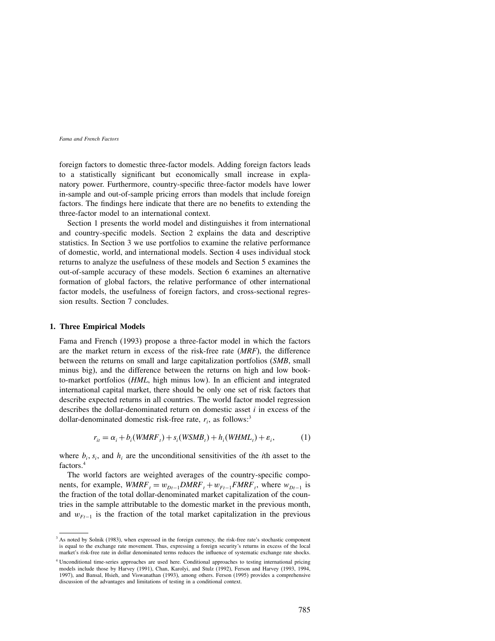foreign factors to domestic three-factor models. Adding foreign factors leads to a statistically significant but economically small increase in explanatory power. Furthermore, country-specific three-factor models have lower in-sample and out-of-sample pricing errors than models that include foreign factors. The findings here indicate that there are no benefits to extending the three-factor model to an international context.

Section 1 presents the world model and distinguishes it from international and country-specific models. Section 2 explains the data and descriptive statistics. In Section 3 we use portfolios to examine the relative performance of domestic, world, and international models. Section 4 uses individual stock returns to analyze the usefulness of these models and Section 5 examines the out-of-sample accuracy of these models. Section 6 examines an alternative formation of global factors, the relative performance of other international factor models, the usefulness of foreign factors, and cross-sectional regression results. Section 7 concludes.

## 1. Three Empirical Models

Fama and French (1993) propose a three-factor model in which the factors are the market return in excess of the risk-free rate (*MRF*), the difference between the returns on small and large capitalization portfolios (*SMB*, small minus big), and the difference between the returns on high and low bookto-market portfolios (*HML*, high minus low). In an efficient and integrated international capital market, there should be only one set of risk factors that describe expected returns in all countries. The world factor model regression describes the dollar-denominated return on domestic asset  $i$  in excess of the dollar-denominated domestic risk-free rate,  $r_i$ , as follows:<sup>3</sup>

$$
r_{it} = \alpha_i + b_i(WMRF_t) + s_i(WSMB_t) + h_i(WHML_t) + \varepsilon_i,
$$
 (1)

where  $b_i$ ,  $s_i$ , and  $h_i$  are the unconditional sensitivities of the *i*th asset to the factors.<sup>4</sup>

The world factors are weighted averages of the country-specific components, for example,  $WMRF_t = w_{Dt-1}DMRF_t + w_{Ft-1}FMRF_t$ , where  $w_{Dt-1}$  is the fraction of the total dollar-denominated market capitalization of the countries in the sample attributable to the domestic market in the previous month, and  $w_{F_{t-1}}$  is the fraction of the total market capitalization in the previous

<sup>&</sup>lt;sup>3</sup> As noted by Solnik (1983), when expressed in the foreign currency, the risk-free rate's stochastic component is equal to the exchange rate movement. Thus, expressing a foreign security's returns in excess of the local market's risk-free rate in dollar denominated terms reduces the influence of systematic exchange rate shocks.

<sup>4</sup> Unconditional time-series approaches are used here. Conditional approaches to testing international pricing models include those by Harvey (1991), Chan, Karolyi, and Stulz (1992), Ferson and Harvey (1993, 1994, 1997), and Bansal, Hsieh, and Viswanathan (1993), among others. Ferson (1995) provides a comprehensive discussion of the advantages and limitations of testing in a conditional context.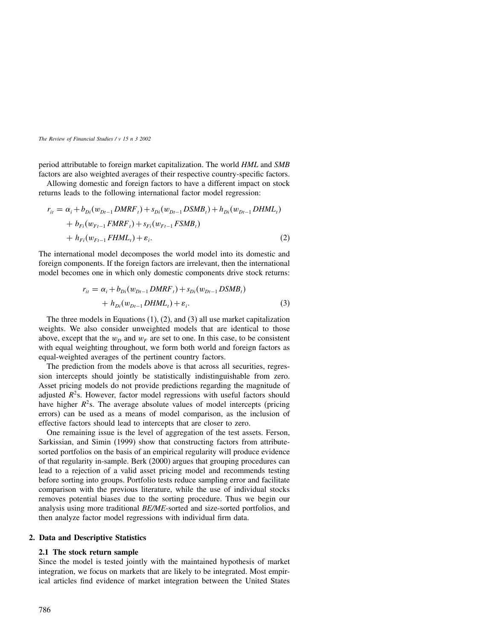period attributable to foreign market capitalization. The world *HML* and *SMB* factors are also weighted averages of their respective country-specific factors.

Allowing domestic and foreign factors to have a different impact on stock returns leads to the following international factor model regression:

$$
r_{it} = \alpha_i + b_{Di}(w_{Di-1} DMRF_t) + s_{Di}(w_{Di-1} DSMB_t) + h_{Di}(w_{Di-1} DHML_t) + b_{Fi}(w_{Fi-1} FMRF_t) + s_{Fi}(w_{Fi-1} FSMB_t) + h_{Fi}(w_{Fi-1} FHML_t) + \varepsilon_i.
$$
\n(2)

The international model decomposes the world model into its domestic and foreign components. If the foreign factors are irrelevant, then the international model becomes one in which only domestic components drive stock returns:

$$
r_{it} = \alpha_i + b_{Di}(w_{Dt-1} D M R F_t) + s_{Di}(w_{Dt-1} D S M B_t) + h_{Di}(w_{Dt-1} D H M L_t) + \varepsilon_i.
$$
 (3)

The three models in Equations (1), (2), and (3) all use market capitalization weights. We also consider unweighted models that are identical to those above, except that the  $w_D$  and  $w_F$  are set to one. In this case, to be consistent with equal weighting throughout, we form both world and foreign factors as equal-weighted averages of the pertinent country factors.

The prediction from the models above is that across all securities, regression intercepts should jointly be statistically indistinguishable from zero. Asset pricing models do not provide predictions regarding the magnitude of adjusted  $R^2$ s. However, factor model regressions with useful factors should have higher  $R^2$ s. The average absolute values of model intercepts (pricing errors) can be used as a means of model comparison, as the inclusion of effective factors should lead to intercepts that are closer to zero.

One remaining issue is the level of aggregation of the test assets. Ferson, Sarkissian, and Simin (1999) show that constructing factors from attributesorted portfolios on the basis of an empirical regularity will produce evidence of that regularity in-sample. Berk (2000) argues that grouping procedures can lead to a rejection of a valid asset pricing model and recommends testing before sorting into groups. Portfolio tests reduce sampling error and facilitate comparison with the previous literature, while the use of individual stocks removes potential biases due to the sorting procedure. Thus we begin our analysis using more traditional *BE/ME*-sorted and size-sorted portfolios, and then analyze factor model regressions with individual firm data.

#### 2. Data and Descriptive Statistics

#### 2.1 The stock return sample

Since the model is tested jointly with the maintained hypothesis of market integration, we focus on markets that are likely to be integrated. Most empirical articles find evidence of market integration between the United States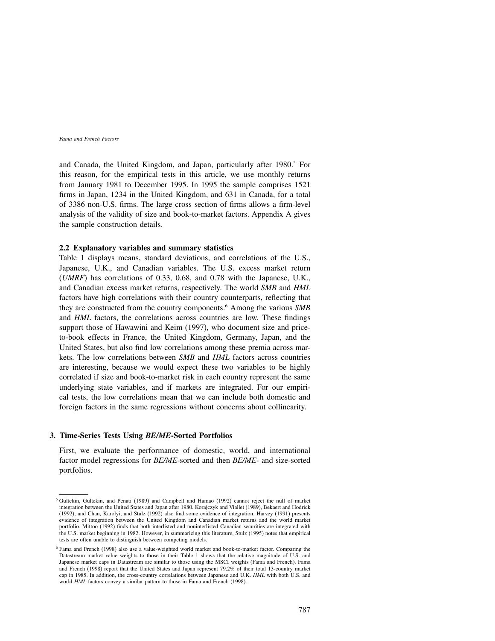and Canada, the United Kingdom, and Japan, particularly after 1980.<sup>5</sup> For this reason, for the empirical tests in this article, we use monthly returns from January 1981 to December 1995. In 1995 the sample comprises 1521 firms in Japan, 1234 in the United Kingdom, and 631 in Canada, for a total of 3386 non-U.S. firms. The large cross section of firms allows a firm-level analysis of the validity of size and book-to-market factors. Appendix A gives the sample construction details.

# 2.2 Explanatory variables and summary statistics

Table 1 displays means, standard deviations, and correlations of the U.S., Japanese, U.K., and Canadian variables. The U.S. excess market return (*UMRF*) has correlations of 0.33, 0.68, and 0.78 with the Japanese, U.K., and Canadian excess market returns, respectively. The world *SMB* and *HML* factors have high correlations with their country counterparts, reflecting that they are constructed from the country components.<sup>6</sup> Among the various SMB and *HML* factors, the correlations across countries are low. These findings support those of Hawawini and Keim (1997), who document size and priceto-book effects in France, the United Kingdom, Germany, Japan, and the United States, but also find low correlations among these premia across markets. The low correlations between *SMB* and *HML* factors across countries are interesting, because we would expect these two variables to be highly correlated if size and book-to-market risk in each country represent the same underlying state variables, and if markets are integrated. For our empirical tests, the low correlations mean that we can include both domestic and foreign factors in the same regressions without concerns about collinearity.

# 3. Time-Series Tests Using *BE/ME*-Sorted Portfolios

First, we evaluate the performance of domestic, world, and international factor model regressions for *BE/ME*-sorted and then *BE/ME*- and size-sorted portfolios.

<sup>&</sup>lt;sup>5</sup> Gultekin, Gultekin, and Penati (1989) and Campbell and Hamao (1992) cannot reject the null of market integration between the United States and Japan after 1980. Korajczyk and Viallet (1989), Bekaert and Hodrick (1992), and Chan, Karolyi, and Stulz (1992) also find some evidence of integration. Harvey (1991) presents evidence of integration between the United Kingdom and Canadian market returns and the world market portfolio. Mittoo (1992) finds that both interlisted and noninterlisted Canadian securities are integrated with the U.S. market beginning in 1982. However, in summarizing this literature, Stulz (1995) notes that empirical tests are often unable to distinguish between competing models.

<sup>6</sup> Fama and French (1998) also use a value-weighted world market and book-to-market factor. Comparing the Datastream market value weights to those in their Table 1 shows that the relative magnitude of U.S. and Japanese market caps in Datastream are similar to those using the MSCI weights (Fama and French). Fama and French (1998) report that the United States and Japan represent 79.2% of their total 13-country market cap in 1985. In addition, the cross-country correlations between Japanese and U.K. *HML* with both U.S. and world *HML* factors convey a similar pattern to those in Fama and French (1998).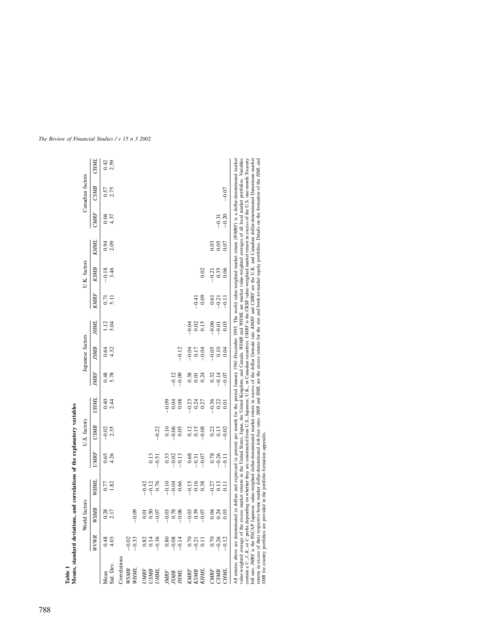|                                            |                                                                          | factors<br>World               |                                                                                                                                                                                                                                                                                                                                                                                                                                                                                                                                                                                                                                                                                                                                                                                                                                                                                                                                                                                                                                                                                               |                            | U.S. factors                   |                                   |                              | Japanese factors        |                 |                                       | U.K. factors            |                      |                    | Canadian factors |              |
|--------------------------------------------|--------------------------------------------------------------------------|--------------------------------|-----------------------------------------------------------------------------------------------------------------------------------------------------------------------------------------------------------------------------------------------------------------------------------------------------------------------------------------------------------------------------------------------------------------------------------------------------------------------------------------------------------------------------------------------------------------------------------------------------------------------------------------------------------------------------------------------------------------------------------------------------------------------------------------------------------------------------------------------------------------------------------------------------------------------------------------------------------------------------------------------------------------------------------------------------------------------------------------------|----------------------------|--------------------------------|-----------------------------------|------------------------------|-------------------------|-----------------|---------------------------------------|-------------------------|----------------------|--------------------|------------------|--------------|
|                                            | WWR                                                                      | <b>WSMB</b>                    | MHML                                                                                                                                                                                                                                                                                                                                                                                                                                                                                                                                                                                                                                                                                                                                                                                                                                                                                                                                                                                                                                                                                          | UMRF                       | <b>USMB</b>                    | UHML                              | JMRF                         | <b>ISMB</b>             | IHML            | <b>KMRF</b>                           | <b>KSMB</b>             | KHML                 | CMRF               | <b>CSMB</b>      | <b>CHML</b>  |
| Std. Dev.<br>Mean                          | 0.48<br>4.03                                                             | 0.28<br>2.17                   | 1.82<br>0.77                                                                                                                                                                                                                                                                                                                                                                                                                                                                                                                                                                                                                                                                                                                                                                                                                                                                                                                                                                                                                                                                                  | 4.26<br>0.65               | $-0.02$<br>2.35                | 0.40<br>2.44                      | 0.48<br>5.78                 | 0.32<br>व               | 1.12<br>3.04    | $\overline{0.71}$<br>$\overline{5}$ . | 3.46<br>$-0.18$         | $0.94$<br>2.09       | 4.37<br>0.04       | 0.57<br>2.75     | 0.42<br>2.59 |
| Correlations<br><b>WSMB</b><br><b>WHML</b> | $-0.33$<br>$-0.02$                                                       | 0.09<br>ĭ                      |                                                                                                                                                                                                                                                                                                                                                                                                                                                                                                                                                                                                                                                                                                                                                                                                                                                                                                                                                                                                                                                                                               |                            |                                |                                   |                              |                         |                 |                                       |                         |                      |                    |                  |              |
| UMRF<br>USMB<br><b>UHML</b>                | $-0.14$<br>0.82                                                          | 1.50<br>0.01<br>0.07           | $-0.12$<br>0.76<br>$-0.42$                                                                                                                                                                                                                                                                                                                                                                                                                                                                                                                                                                                                                                                                                                                                                                                                                                                                                                                                                                                                                                                                    | 0.13<br>$-0.51$            | $-0.22$                        |                                   |                              |                         |                 |                                       |                         |                      |                    |                  |              |
| <b>ISMB</b><br><b>MRF</b><br>JHMI          | $\begin{array}{c} 0.80 \\ -0.08 \end{array}$<br>$-0.14$                  | 0.78<br>0.03<br>0.06<br>i<br>ĭ | 0.66<br>$-0.10$<br>$-0.04$                                                                                                                                                                                                                                                                                                                                                                                                                                                                                                                                                                                                                                                                                                                                                                                                                                                                                                                                                                                                                                                                    | $-0.02$<br>$-0.13$<br>0.33 | 0.10<br>$-0.06$<br>0.05        | 0.04<br>0.08<br>$-0.09$           | $-0.09$<br>$-0.12$           | $-0.12$                 |                 |                                       |                         |                      |                    |                  |              |
| <b>KSMB</b><br><b>KMRF</b><br>KHML         | $0.71$<br>$0.71$<br>$0.11$                                               | 0.03<br>0.39<br>0.07<br>ĭ<br>7 | $-0.15$<br>0.16                                                                                                                                                                                                                                                                                                                                                                                                                                                                                                                                                                                                                                                                                                                                                                                                                                                                                                                                                                                                                                                                               | 0.68<br>$-0.07$<br>$-0.31$ | $0.12$<br>0.15<br>0.08         | 0.27<br>$-0.23$                   | 0.38<br>$0.01$<br>$0.24$     | $-0.04$<br>50.0<br>71.0 | 0.15<br>$-0.04$ | 0.09<br>$-0.41$                       | 0.02                    |                      |                    |                  |              |
| <b>CSMB</b><br><b>CMRF</b><br><b>CHML</b>  | $-0.12$<br>$-0.76$                                                       | 0.04<br>0.24<br>0.03           | 0.13<br>$-0.27$<br>$\Xi$                                                                                                                                                                                                                                                                                                                                                                                                                                                                                                                                                                                                                                                                                                                                                                                                                                                                                                                                                                                                                                                                      | 0.78<br>$-0.26$<br>$-0.11$ | $\frac{0.22}{0.13}$<br>$-0.02$ | $-0.36$<br>0.22<br>$\overline{0}$ | $0.32$<br>$-0.14$<br>$-0.07$ | 0.10<br>$-0.05$<br>0.04 | $-0.05$<br>0.05 | 0.61<br>$-0.21$<br>$\frac{11}{2}$     | $-0.21$<br>0.35<br>0.06 | 0.05<br>0.03<br>0.07 | $-0.20$<br>$-0.31$ | $-0.07$          |              |
|                                            | returns in excess of their respecti<br>SMB for country portfolios are pr |                                | All returns above are denominated in dollars and expressed in percent per month for the period January 1981–December 1995. The world value-weighted market return (WMRF) is a dollar-denominated market<br>value-weighted average of the excess market returns in the United States, Japan, the United Kingdom, and Ganada. WSMB and WHML are market value-weighted averages of all local market portfolios. Variables<br>bill rate. JMRF is the PACAP Japanese value-weighted dollar-denominated market return in excess of the dollar Gensaki rate. KMRF and CMRF are the U.K. and Canadian dollar-denominated Datastream market<br>contain a $U, J, K$ , or C prefix depending on whether they are constructed from U.S., Japanese, U.K., or Canadian securities. UMRF is the CRSP value-weighted market return in excess of the U.S. one-month Treasury<br>ve home market dollar-denominated risk-free rates. SMB and HML are the excess returns for the size and book-to-market equity portfolios. Details on the formation of the HML and<br>ovided in the portfolio formation appendix |                            |                                |                                   |                              |                         |                 |                                       |                         |                      |                    |                  |              |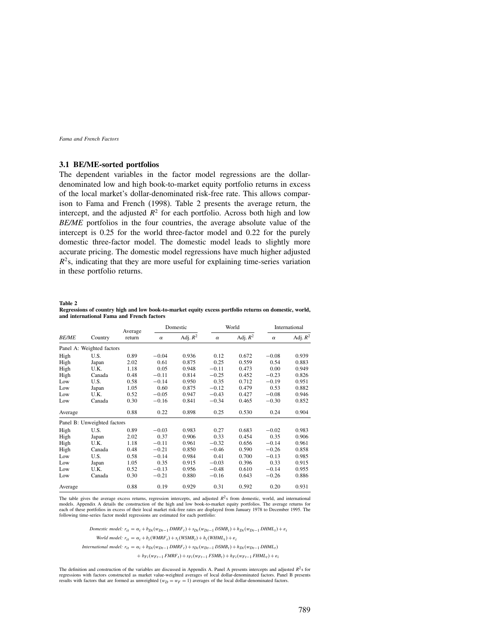#### 3.1 BE/ME-sorted portfolios

The dependent variables in the factor model regressions are the dollardenominated low and high book-to-market equity portfolio returns in excess of the local market's dollar-denominated risk-free rate. This allows comparison to Fama and French (1998). Table 2 presents the average return, the intercept, and the adjusted  $R^2$  for each portfolio. Across both high and low *BE/ME* portfolios in the four countries, the average absolute value of the intercept is 0.25 for the world three-factor model and 0.22 for the purely domestic three-factor model. The domestic model leads to slightly more accurate pricing. The domestic model regressions have much higher adjusted  $R<sup>2</sup>$ s, indicating that they are more useful for explaining time-series variation in these portfolio returns.

Table 2

Regressions of country high and low book-to-market equity excess portfolio returns on domestic, world, and international Fama and French factors

|              |                             | Average |          | Domestic   |          | World      | International |            |  |
|--------------|-----------------------------|---------|----------|------------|----------|------------|---------------|------------|--|
| <b>BE/ME</b> | Country                     | return  | $\alpha$ | Adj. $R^2$ | $\alpha$ | Adj. $R^2$ | $\alpha$      | Adj. $R^2$ |  |
|              | Panel A: Weighted factors   |         |          |            |          |            |               |            |  |
| High         | U.S.                        | 0.89    | $-0.04$  | 0.936      | 0.12     | 0.672      | $-0.08$       | 0.939      |  |
| High         | Japan                       | 2.02    | 0.61     | 0.875      | 0.25     | 0.559      | 0.54          | 0.883      |  |
| High         | U.K.                        | 1.18    | 0.05     | 0.948      | $-0.11$  | 0.473      | 0.00          | 0.949      |  |
| High         | Canada                      | 0.48    | $-0.11$  | 0.814      | $-0.25$  | 0.452      | $-0.23$       | 0.826      |  |
| Low          | U.S.                        | 0.58    | $-0.14$  | 0.950      | 0.35     | 0.712      | $-0.19$       | 0.951      |  |
| Low          | Japan                       | 1.05    | 0.60     | 0.875      | $-0.12$  | 0.479      | 0.53          | 0.882      |  |
| Low          | U.K.                        | 0.52    | $-0.05$  | 0.947      | $-0.43$  | 0.427      | $-0.08$       | 0.946      |  |
| Low          | Canada                      | 0.30    | $-0.16$  | 0.841      | $-0.34$  | 0.465      | $-0.30$       | 0.852      |  |
| Average      |                             | 0.88    | 0.22     | 0.898      | 0.25     | 0.530      | 0.24          | 0.904      |  |
|              | Panel B: Unweighted factors |         |          |            |          |            |               |            |  |
| High         | U.S.                        | 0.89    | $-0.03$  | 0.983      | 0.27     | 0.683      | $-0.02$       | 0.983      |  |
| High         | Japan                       | 2.02    | 0.37     | 0.906      | 0.33     | 0.454      | 0.35          | 0.906      |  |
| High         | U.K.                        | 1.18    | $-0.11$  | 0.961      | $-0.32$  | 0.656      | $-0.14$       | 0.961      |  |
| High         | Canada                      | 0.48    | $-0.21$  | 0.850      | $-0.46$  | 0.590      | $-0.26$       | 0.858      |  |
| Low          | U.S.                        | 0.58    | $-0.14$  | 0.984      | 0.41     | 0.700      | $-0.13$       | 0.985      |  |
| Low          | Japan                       | 1.05    | 0.35     | 0.915      | $-0.03$  | 0.396      | 0.33          | 0.915      |  |
| Low          | U.K.                        | 0.52    | $-0.13$  | 0.956      | $-0.48$  | 0.610      | $-0.14$       | 0.955      |  |
| Low          | Canada                      | 0.30    | $-0.21$  | 0.880      | $-0.16$  | 0.643      | $-0.26$       | 0.886      |  |
| Average      |                             | 0.88    | 0.19     | 0.929      | 0.31     | 0.592      | 0.20          | 0.931      |  |

The table gives the average excess returns, regression intercepts, and adjusted  $R^2$ s from domestic, world, and international models. Appendix A details the construction of the high and low book-to-market equity portfolios. The average returns for each of these portfolios in excess of their local market risk-free rates are displayed from January 1978 to December 1995. The following time-series factor model regressions are estimated for each portfolio:

*Domestic model:*  $r_{it} = \alpha_i + b_{Di}(w_{Dt-1} D M R F_t) + s_{Di}(w_{Dt-1} D S M B_t) + h_{Di}(w_{Dt-1} D H M L_t) + \varepsilon_i$ *World model:*  $r_{it} = \alpha_i + b_i(WMRF_t) + s_i(WSMB_t) + h_i(WHML_t) + \varepsilon_i$ *International model:*  $r_{it} = \alpha_i + b_{Di}(w_{Dt-1} D M R F_t) + s_{Di}(w_{Dt-1} D S M B_t) + h_{Di}(w_{Dt-1} D H M L_t)$  $+ b_{Fi}(w_{Ft-1} FMRF_t) + s_{Fi}(w_{Ft-1} FSMB_t) + h_{Fi}(w_{Ft-1} FHML_t) + \varepsilon_i$ 

The definition and construction of the variables are discussed in Appendix A. Panel A presents intercepts and adjusted  $R<sup>2</sup>$ s for regressions with factors constructed as market value-weighted averages of local dollar-denominated factors. Panel B presents results with factors that are formed as unweighted  $(w_D = w_F = 1)$  averages of the local dollar-denominated factors.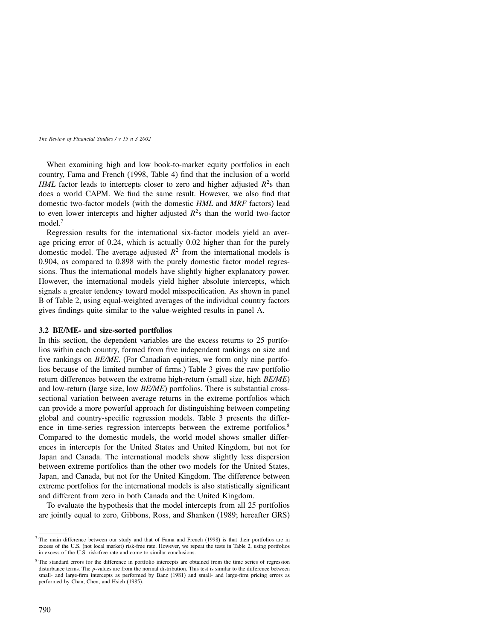When examining high and low book-to-market equity portfolios in each country, Fama and French (1998, Table 4) find that the inclusion of a world *HML* factor leads to intercepts closer to zero and higher adjusted  $R^2$ s than does a world CAPM. We find the same result. However, we also find that domestic two-factor models (with the domestic *HML* and *MRF* factors) lead to even lower intercepts and higher adjusted  $R^2$ s than the world two-factor model.7

Regression results for the international six-factor models yield an average pricing error of 0.24, which is actually 0.02 higher than for the purely domestic model. The average adjusted  $R^2$  from the international models is 0.904, as compared to 0.898 with the purely domestic factor model regressions. Thus the international models have slightly higher explanatory power. However, the international models yield higher absolute intercepts, which signals a greater tendency toward model misspecification. As shown in panel B of Table 2, using equal-weighted averages of the individual country factors gives findings quite similar to the value-weighted results in panel A.

#### 3.2 BE/ME- and size-sorted portfolios

In this section, the dependent variables are the excess returns to 25 portfolios within each country, formed from five independent rankings on size and five rankings on *BE/ME*. (For Canadian equities, we form only nine portfolios because of the limited number of firms.) Table 3 gives the raw portfolio return differences between the extreme high-return (small size, high *BE/ME*) and low-return (large size, low *BE/ME*) portfolios. There is substantial crosssectional variation between average returns in the extreme portfolios which can provide a more powerful approach for distinguishing between competing global and country-specific regression models. Table 3 presents the difference in time-series regression intercepts between the extreme portfolios.<sup>8</sup> Compared to the domestic models, the world model shows smaller differences in intercepts for the United States and United Kingdom, but not for Japan and Canada. The international models show slightly less dispersion between extreme portfolios than the other two models for the United States, Japan, and Canada, but not for the United Kingdom. The difference between extreme portfolios for the international models is also statistically significant and different from zero in both Canada and the United Kingdom.

To evaluate the hypothesis that the model intercepts from all 25 portfolios are jointly equal to zero, Gibbons, Ross, and Shanken (1989; hereafter GRS)

<sup>&</sup>lt;sup>7</sup> The main difference between our study and that of Fama and French (1998) is that their portfolios are in excess of the U.S. (not local market) risk-free rate. However, we repeat the tests in Table 2, using portfolios in excess of the U.S. risk-free rate and come to similar conclusions.

<sup>&</sup>lt;sup>8</sup> The standard errors for the difference in portfolio intercepts are obtained from the time series of regression disturbance terms. The p-values are from the normal distribution. This test is similar to the difference between small- and large-firm intercepts as performed by Banz (1981) and small- and large-firm pricing errors as performed by Chan, Chen, and Hsieh (1985).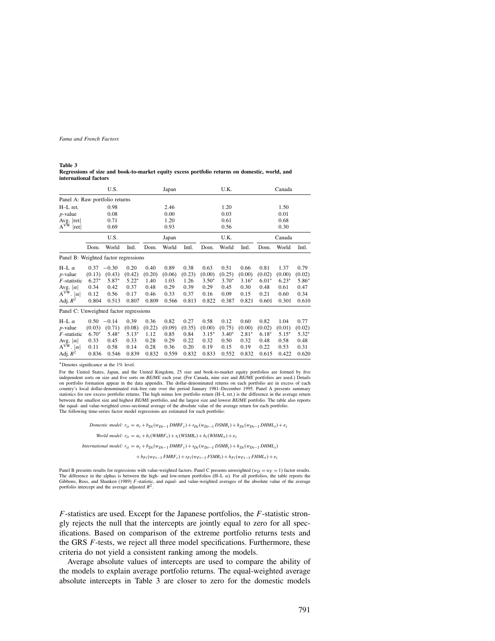|                                        |         | U.S.    |         |        | Japan  |        |         | U.K.    |         |         | Canada  |         |  |
|----------------------------------------|---------|---------|---------|--------|--------|--------|---------|---------|---------|---------|---------|---------|--|
| Panel A: Raw portfolio returns         |         |         |         |        |        |        |         |         |         |         |         |         |  |
| H-L ret.                               |         | 0.98    |         |        | 2.46   |        |         | 1.20    |         |         | 1.50    |         |  |
| $p$ -value                             |         | 0.08    |         |        | 0.00   |        |         | 0.03    |         |         | 0.01    |         |  |
| Avg. $ ret $                           |         | 0.71    |         |        | 1.20   |        |         | 0.61    |         |         | 0.68    |         |  |
| $A^{VW}$<br>ret                        |         | 0.69    |         |        | 0.93   |        |         | 0.56    |         |         | 0.30    |         |  |
|                                        |         | U.S.    |         |        | Japan  |        |         | U.K.    |         |         | Canada  |         |  |
|                                        | Dom.    | World   | Intl.   | Dom.   | World  | Intl.  | Dom.    | World   | Intl.   | Dom.    | World   | Intl.   |  |
| Panel B: Weighted factor regressions   |         |         |         |        |        |        |         |         |         |         |         |         |  |
| H-L $\alpha$                           | 0.37    | $-0.30$ | 0.20    | 0.40   | 0.89   | 0.38   | 0.63    | 0.51    | 0.66    | 0.81    | 1.37    | 0.79    |  |
| $p$ -value                             | (0.13)  | (0.43)  | (0.42)  | (0.20) | (0.06) | (0.23) | (0.00)  | (0.25)  | (0.00)  | (0.02)  | (0.00)  | (0.02)  |  |
| $F$ -statistic                         | $6.27*$ | 5.87*   | $5.22*$ | 1.40   | 1.03   | 1.26   | $3.50*$ | $3.70*$ | $3.16*$ | $6.01*$ | $6.23*$ | $5.86*$ |  |
| Avg. $ \alpha $                        | 0.34    | 0.42    | 0.37    | 0.48   | 0.29   | 0.39   | 0.29    | 0.45    | 0.30    | 0.48    | 0.61    | 0.47    |  |
| $A^{vw}$ .   $\alpha$                  | 0.12    | 0.56    | 0.17    | 0.46   | 0.33   | 0.37   | 0.16    | 0.09    | 0.15    | 0.21    | 0.60    | 0.34    |  |
| Adj. $R^2$                             | 0.804   | 0.513   | 0.807   | 0.809  | 0.566  | 0.813  | 0.822   | 0.387   | 0.821   | 0.601   | 0.301   | 0.610   |  |
| Panel C: Unweighted factor regressions |         |         |         |        |        |        |         |         |         |         |         |         |  |
| H-L $\alpha$                           | 0.50    | $-0.14$ | 0.39    | 0.36   | 0.82   | 0.27   | 0.58    | 0.12    | 0.60    | 0.82    | 1.04    | 0.77    |  |
| $p$ -value                             | (0.03)  | (0.71)  | (0.08)  | (0.22) | (0.09) | (0.35) | (0.00)  | (0.75)  | (0.00)  | (0.02)  | (0.01)  | (0.02)  |  |
| $F$ -statistic                         | $6.70*$ | $5.48*$ | $5.13*$ | 1.12   | 0.85   | 0.84   | $3.15*$ | $3.40*$ | $2.81*$ | $6.18*$ | $5.15*$ | $5.32*$ |  |
| Avg. $ \alpha $                        | 0.33    | 0.45    | 0.33    | 0.28   | 0.29   | 0.22   | 0.32    | 0.50    | 0.32    | 0.48    | 0.58    | 0.48    |  |
| $A^{VW}$<br>$ \alpha $                 | 0.11    | 0.58    | 0.14    | 0.28   | 0.36   | 0.20   | 0.19    | 0.15    | 0.19    | 0.22    | 0.53    | 0.31    |  |
| Adj. $R^2$                             | 0.836   | 0.546   | 0.839   | 0.832  | 0.559  | 0.832  | 0.833   | 0.552   | 0.832   | 0.615   | 0.422   | 0.620   |  |

#### Table 3 Regressions of size and book-to-market equity excess portfolio returns on domestic, world, and international factors

∗Denotes significance at the 1% level.

For the United States, Japan, and the United Kingdom, 25 size and book-to-market equity portfolios are formed by five independent sorts on size and five sorts on *BE/ME* each year. (For Canada, nine size and *BE/ME* portfolios are used.) Details on portfolio formation appear in the data appendix. The dollar-denominated returns on each portfolio are in excess of each country's local dollar-denominated risk-free rate over the period January 1981–December 1995. Panel A presents summary statistics for raw excess portfolio returns. The high minus low portfolio return (H–L ret.) is the difference in the average return between the smallest size and highest *BE/ME* portfolio, and the largest size and lowest *BE/ME* portfolio. The table also reports the equal- and value-weighted cross-sectional average of the absolute value of the average return for each portfolio. The following time-series factor model regressions are estimated for each portfolio:

*Domestic model:*  $r_{it} = \alpha_i + b_{Di}(w_{Dt-1} D M R F_t) + s_{Di}(w_{Dt-1} D S M B_t) + h_{Di}(w_{Dt-1} D H M L_t) + \varepsilon_i$ *World model:*  $r_{it} = \alpha_i + b_i(WMRF_t) + s_i(WSMB_t) + h_i(WHML_t) + \varepsilon_i$ *International model:*  $r_{it} = \alpha_i + b_{Di}(w_{Dt-1} D M R F_t) + s_{Di}(w_{Dt-1} D S M B_t) + h_{Di}(w_{Dt-1} D H M L_t)$ 

 $+ b_{Fi}(w_{F t-1} F M R F_t) + s_{Fi}(w_{F t-1} F S M B_t) + h_{Fi}(w_{F t-1} F H M L_t) + \varepsilon_i$ 

Panel B presents results for regressions with value-weighted factors. Panel C presents unweighted  $(w_D = w_F = 1)$  factor results. The difference in the alphas is between the high- and low-return portfolios  $(H-L \alpha)$ . For all portfolios, the table reports the Gibbons, Ross, and Shanken (1989) F-statistic, and equal- and value-weighted averages of the absolute value of the average portfolio intercept and the average adjusted  $R^2$ .

 $F$ -statistics are used. Except for the Japanese portfolios, the  $F$ -statistic strongly rejects the null that the intercepts are jointly equal to zero for all specifications. Based on comparison of the extreme portfolio returns tests and the GRS F -tests, we reject all three model specifications. Furthermore, these criteria do not yield a consistent ranking among the models.

Average absolute values of intercepts are used to compare the ability of the models to explain average portfolio returns. The equal-weighted average absolute intercepts in Table 3 are closer to zero for the domestic models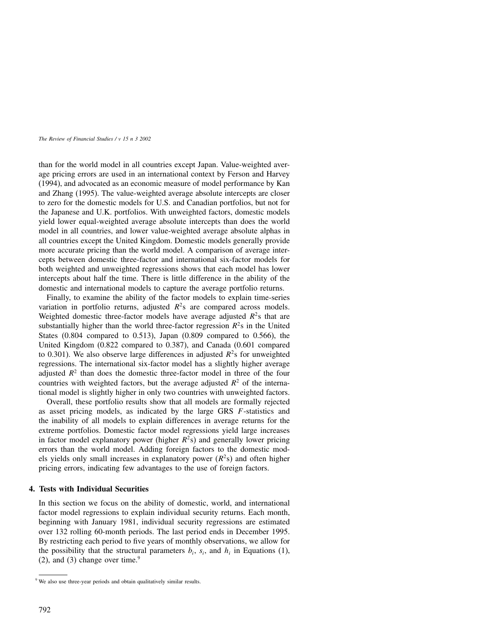than for the world model in all countries except Japan. Value-weighted average pricing errors are used in an international context by Ferson and Harvey (1994), and advocated as an economic measure of model performance by Kan and Zhang (1995). The value-weighted average absolute intercepts are closer to zero for the domestic models for U.S. and Canadian portfolios, but not for the Japanese and U.K. portfolios. With unweighted factors, domestic models yield lower equal-weighted average absolute intercepts than does the world model in all countries, and lower value-weighted average absolute alphas in all countries except the United Kingdom. Domestic models generally provide more accurate pricing than the world model. A comparison of average intercepts between domestic three-factor and international six-factor models for both weighted and unweighted regressions shows that each model has lower intercepts about half the time. There is little difference in the ability of the domestic and international models to capture the average portfolio returns.

Finally, to examine the ability of the factor models to explain time-series variation in portfolio returns, adjusted  $R^2$ s are compared across models. Weighted domestic three-factor models have average adjusted  $R^2$ s that are substantially higher than the world three-factor regression  $R^2$ s in the United States (0.804 compared to 0.513), Japan (0.809 compared to 0.566), the United Kingdom (0.822 compared to 0.387), and Canada (0.601 compared to 0.301). We also observe large differences in adjusted  $R^2$ s for unweighted regressions. The international six-factor model has a slightly higher average adjusted  $R<sup>2</sup>$  than does the domestic three-factor model in three of the four countries with weighted factors, but the average adjusted  $R^2$  of the international model is slightly higher in only two countries with unweighted factors.

Overall, these portfolio results show that all models are formally rejected as asset pricing models, as indicated by the large GRS F -statistics and the inability of all models to explain differences in average returns for the extreme portfolios. Domestic factor model regressions yield large increases in factor model explanatory power (higher  $R^2$ s) and generally lower pricing errors than the world model. Adding foreign factors to the domestic models yields only small increases in explanatory power  $(R<sup>2</sup>s)$  and often higher pricing errors, indicating few advantages to the use of foreign factors.

#### 4. Tests with Individual Securities

In this section we focus on the ability of domestic, world, and international factor model regressions to explain individual security returns. Each month, beginning with January 1981, individual security regressions are estimated over 132 rolling 60-month periods. The last period ends in December 1995. By restricting each period to five years of monthly observations, we allow for the possibility that the structural parameters  $b_i$ ,  $s_i$ , and  $h_i$  in Equations (1),  $(2)$ , and  $(3)$  change over time.<sup>9</sup>

<sup>&</sup>lt;sup>9</sup> We also use three-year periods and obtain qualitatively similar results.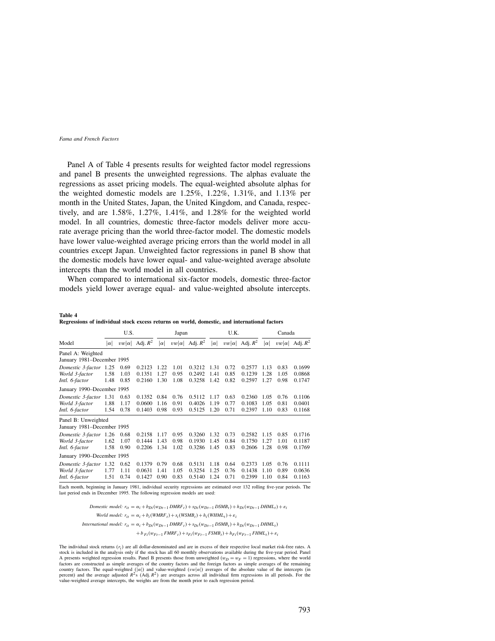Table 4

Panel B: Unweighted January 1981–December 1995

January 1990–December 1995

Panel A of Table 4 presents results for weighted factor model regressions and panel B presents the unweighted regressions. The alphas evaluate the regressions as asset pricing models. The equal-weighted absolute alphas for the weighted domestic models are 1.25%, 1.22%, 1.31%, and 1.13% per month in the United States, Japan, the United Kingdom, and Canada, respectively, and are 1.58%, 1.27%, 1.41%, and 1.28% for the weighted world model. In all countries, domestic three-factor models deliver more accurate average pricing than the world three-factor model. The domestic models have lower value-weighted average pricing errors than the world model in all countries except Japan. Unweighted factor regressions in panel B show that the domestic models have lower equal- and value-weighted average absolute intercepts than the world model in all countries.

When compared to international six-factor models, domestic three-factor models yield lower average equal- and value-weighted absolute intercepts.

|                                                                                                   |            | U.S.                   |                                 |            | Japan |                                                              |  | U.K.         |                                      |            | Canada               |                            |
|---------------------------------------------------------------------------------------------------|------------|------------------------|---------------------------------|------------|-------|--------------------------------------------------------------|--|--------------|--------------------------------------|------------|----------------------|----------------------------|
| Model                                                                                             | $ \alpha $ |                        | $vw \alpha $ Adi. $R^2$         | $ \alpha $ |       | $vw \alpha $ Adj. $R^2$                                      |  |              | $ \alpha $ vw  $\alpha$   Adj. $R^2$ | $ \alpha $ |                      | $vw \alpha $ Adj. $R^2$    |
| Panel A: Weighted<br>January 1981–December 1995                                                   |            |                        |                                 |            |       |                                                              |  |              |                                      |            |                      |                            |
| Domestic 3-factor 1.25 0.69 0.2123 1.22 1.01 0.3212 1.31 0.72<br>World 3-factor<br>Intl. 6-factor |            | 1.58 1.03<br>1.48 0.85 | 0.1351 1.27 0.95<br>0.2160 1.30 |            | 1.08  | 0.2492 1.41<br>0.3258 1.42                                   |  | 0.85<br>0.82 | 0.2577 1.13<br>0.1239<br>0.2597 1.27 | 1.28       | 0.83<br>1.05<br>0.98 | 0.1699<br>0.0868<br>0.1747 |
| January 1990–December 1995                                                                        |            |                        |                                 |            |       |                                                              |  |              |                                      |            |                      |                            |
| Domestic 3-factor 1.31 0.63 0.1352 0.84 0.76 0.5112 1.17<br>World 3-factor                        |            |                        |                                 |            |       | 1.88 1.17 0.0600 1.16 0.91 0.4026 1.19 0.77 0.1083 1.05 0.81 |  | 0.63         | 0.2360                               | 1.05       | 0.76                 | 0.1106<br>0.0401           |

*World 3-factor* 188 117 00600 116 091 04026 119 077 01083 105 081 00401

*Domestic 3-factor* 126 068 02158 117 095 03260 132 073 02582 115 085 01716 *World 3-factor* 162 107 01444 143 098 01930 145 084 01750 127 101 01187 *Intl. 6-factor* 1.58 0.90 0.2206 1.34 1.02 0.3286 1.45 0.83 0.2606 1.28 0.98

*Intl. 6-factor* 154 078 01403 098 093 05125 120 071 02397 110 083 01168

0.5140 1.24 0.71

Regressions of individual stock excess returns on world, domestic, and international factors

*World 3-factor* 177 111 00631 141 105 03254 125 076 01438 110 089 00636 Each month, beginning in January 1981, individual security regressions are estimated over 132 rolling five-year periods. The last period ends in December 1995. The following regression models are used:

*Domestic 3-factor* 132 062 01379 079 068 05131 118 064 02373 105 076 01111

*Domestic model:*  $r_{it} = \alpha_i + b_{Di}(w_{Dt-1} D M R F_t) + s_{Di}(w_{Dt-1} D S M B_t) + h_{Di}(w_{Dt-1} D H M L_t) + \varepsilon_i$ *World model:*  $r_{it} = \alpha_i + b_i(WMRF_t) + s_i(WSMB_t) + h_i(WHML_t) + \varepsilon_i$ *International model:*  $r_{it} = \alpha_i + b_{Di}(w_{Dt-1} D M R F_t) + s_{Di}(w_{Dt-1} D S M B_t) + h_{Di}(w_{Dt-1} D H M L_t)$  $+ b_{Fi}(w_{Ft-1} FMRF_t) + s_{Fi}(w_{Ft-1} FSMB_t) + h_{Fi}(w_{Ft-1} FHML_t) + \varepsilon_i$ 

The individual stock returns  $(r_i)$  are all dollar-denominated and are in excess of their respective local market risk-free rates. A stock is included in the analysis only if the stock has all 60 monthly observations available during the five-year period. Panel A presents weighted regression results. Panel B presents those from unweighted  $(w_D = w_F = 1)$  regressions, where the world factors are constructed as simple averages of the country factors and the foreign factors as simple averages of the remaining country factors. The equal-weighted ( $| \alpha |$ ) and value-weighted ( $vw | \alpha |$ ) averages of the absolute value of the intercepts (in percent) and the average adjusted  $R^2$ s (Adj.  $R^2$ ) are averages across all individual firm value-weighted average intercepts, the weights are from the month prior to each regression period.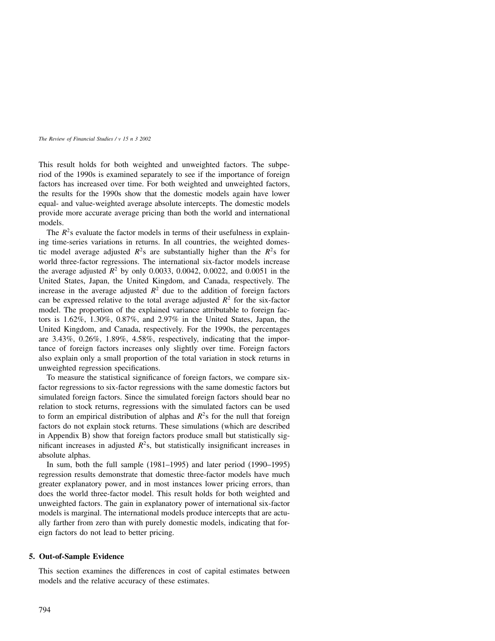This result holds for both weighted and unweighted factors. The subperiod of the 1990s is examined separately to see if the importance of foreign factors has increased over time. For both weighted and unweighted factors, the results for the 1990s show that the domestic models again have lower equal- and value-weighted average absolute intercepts. The domestic models provide more accurate average pricing than both the world and international models.

The  $R^2$ s evaluate the factor models in terms of their usefulness in explaining time-series variations in returns. In all countries, the weighted domestic model average adjusted  $R^2$ s are substantially higher than the  $R^2$ s for world three-factor regressions. The international six-factor models increase the average adjusted  $R^2$  by only 0.0033, 0.0042, 0.0022, and 0.0051 in the United States, Japan, the United Kingdom, and Canada, respectively. The increase in the average adjusted  $R^2$  due to the addition of foreign factors can be expressed relative to the total average adjusted  $R^2$  for the six-factor model. The proportion of the explained variance attributable to foreign factors is 1.62%, 1.30%, 0.87%, and 2.97% in the United States, Japan, the United Kingdom, and Canada, respectively. For the 1990s, the percentages are 3.43%, 0.26%, 1.89%, 4.58%, respectively, indicating that the importance of foreign factors increases only slightly over time. Foreign factors also explain only a small proportion of the total variation in stock returns in unweighted regression specifications.

To measure the statistical significance of foreign factors, we compare sixfactor regressions to six-factor regressions with the same domestic factors but simulated foreign factors. Since the simulated foreign factors should bear no relation to stock returns, regressions with the simulated factors can be used to form an empirical distribution of alphas and  $R^2$ s for the null that foreign factors do not explain stock returns. These simulations (which are described in Appendix B) show that foreign factors produce small but statistically significant increases in adjusted  $R^2$ s, but statistically insignificant increases in absolute alphas.

In sum, both the full sample (1981–1995) and later period (1990–1995) regression results demonstrate that domestic three-factor models have much greater explanatory power, and in most instances lower pricing errors, than does the world three-factor model. This result holds for both weighted and unweighted factors. The gain in explanatory power of international six-factor models is marginal. The international models produce intercepts that are actually farther from zero than with purely domestic models, indicating that foreign factors do not lead to better pricing.

#### 5. Out-of-Sample Evidence

This section examines the differences in cost of capital estimates between models and the relative accuracy of these estimates.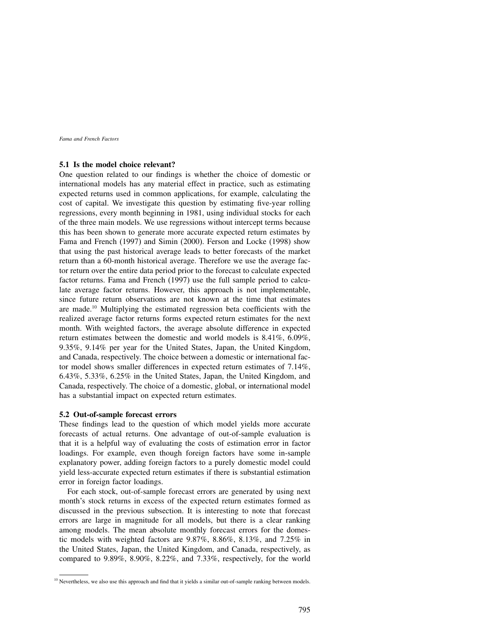# 5.1 Is the model choice relevant?

One question related to our findings is whether the choice of domestic or international models has any material effect in practice, such as estimating expected returns used in common applications, for example, calculating the cost of capital. We investigate this question by estimating five-year rolling regressions, every month beginning in 1981, using individual stocks for each of the three main models. We use regressions without intercept terms because this has been shown to generate more accurate expected return estimates by Fama and French (1997) and Simin (2000). Ferson and Locke (1998) show that using the past historical average leads to better forecasts of the market return than a 60-month historical average. Therefore we use the average factor return over the entire data period prior to the forecast to calculate expected factor returns. Fama and French (1997) use the full sample period to calculate average factor returns. However, this approach is not implementable, since future return observations are not known at the time that estimates are made.10 Multiplying the estimated regression beta coefficients with the realized average factor returns forms expected return estimates for the next month. With weighted factors, the average absolute difference in expected return estimates between the domestic and world models is 8.41%, 6.09%, 9.35%, 9.14% per year for the United States, Japan, the United Kingdom, and Canada, respectively. The choice between a domestic or international factor model shows smaller differences in expected return estimates of 7.14%, 6.43%, 5.33%, 6.25% in the United States, Japan, the United Kingdom, and Canada, respectively. The choice of a domestic, global, or international model has a substantial impact on expected return estimates.

# 5.2 Out-of-sample forecast errors

These findings lead to the question of which model yields more accurate forecasts of actual returns. One advantage of out-of-sample evaluation is that it is a helpful way of evaluating the costs of estimation error in factor loadings. For example, even though foreign factors have some in-sample explanatory power, adding foreign factors to a purely domestic model could yield less-accurate expected return estimates if there is substantial estimation error in foreign factor loadings.

For each stock, out-of-sample forecast errors are generated by using next month's stock returns in excess of the expected return estimates formed as discussed in the previous subsection. It is interesting to note that forecast errors are large in magnitude for all models, but there is a clear ranking among models. The mean absolute monthly forecast errors for the domestic models with weighted factors are 9.87%, 8.86%, 8.13%, and 7.25% in the United States, Japan, the United Kingdom, and Canada, respectively, as compared to 9.89%, 8.90%, 8.22%, and 7.33%, respectively, for the world

<sup>&</sup>lt;sup>10</sup> Nevertheless, we also use this approach and find that it yields a similar out-of-sample ranking between models.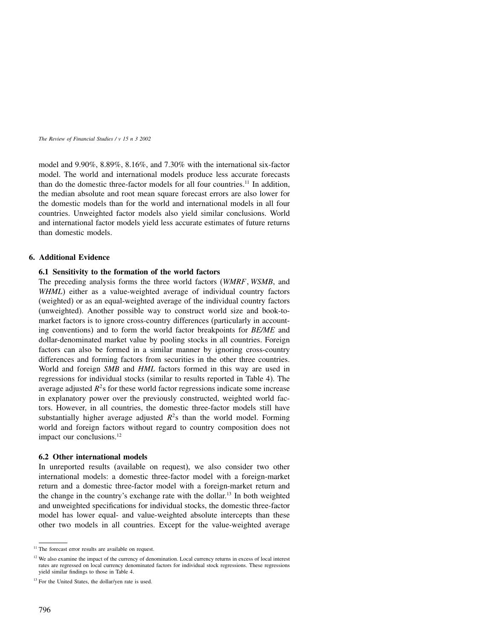model and 9.90%, 8.89%, 8.16%, and 7.30% with the international six-factor model. The world and international models produce less accurate forecasts than do the domestic three-factor models for all four countries.11 In addition, the median absolute and root mean square forecast errors are also lower for the domestic models than for the world and international models in all four countries. Unweighted factor models also yield similar conclusions. World and international factor models yield less accurate estimates of future returns than domestic models.

# 6. Additional Evidence

## 6.1 Sensitivity to the formation of the world factors

The preceding analysis forms the three world factors (*WMRF WSMB*, and *WHML*) either as a value-weighted average of individual country factors (weighted) or as an equal-weighted average of the individual country factors (unweighted). Another possible way to construct world size and book-tomarket factors is to ignore cross-country differences (particularly in accounting conventions) and to form the world factor breakpoints for *BE/ME* and dollar-denominated market value by pooling stocks in all countries. Foreign factors can also be formed in a similar manner by ignoring cross-country differences and forming factors from securities in the other three countries. World and foreign *SMB* and *HML* factors formed in this way are used in regressions for individual stocks (similar to results reported in Table 4). The average adjusted  $R^2$ s for these world factor regressions indicate some increase in explanatory power over the previously constructed, weighted world factors. However, in all countries, the domestic three-factor models still have substantially higher average adjusted  $R^2$ s than the world model. Forming world and foreign factors without regard to country composition does not impact our conclusions.<sup>12</sup>

## 6.2 Other international models

In unreported results (available on request), we also consider two other international models: a domestic three-factor model with a foreign-market return and a domestic three-factor model with a foreign-market return and the change in the country's exchange rate with the dollar.13 In both weighted and unweighted specifications for individual stocks, the domestic three-factor model has lower equal- and value-weighted absolute intercepts than these other two models in all countries. Except for the value-weighted average

<sup>&</sup>lt;sup>11</sup> The forecast error results are available on request.

<sup>&</sup>lt;sup>12</sup> We also examine the impact of the currency of denomination. Local currency returns in excess of local interest rates are regressed on local currency denominated factors for individual stock regressions. These regressions yield similar findings to those in Table 4.

<sup>&</sup>lt;sup>13</sup> For the United States, the dollar/yen rate is used.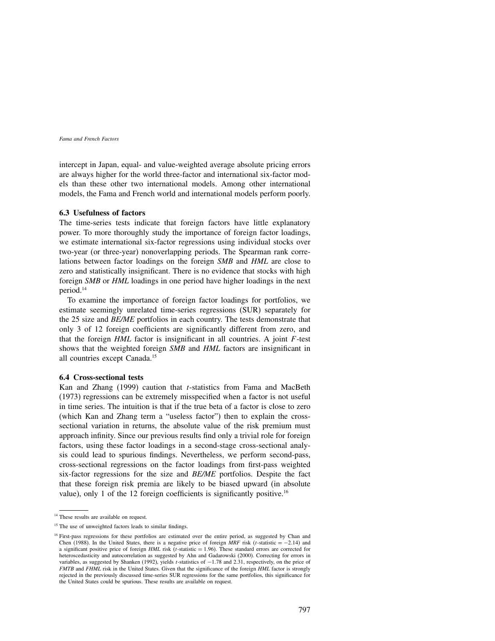intercept in Japan, equal- and value-weighted average absolute pricing errors are always higher for the world three-factor and international six-factor models than these other two international models. Among other international models, the Fama and French world and international models perform poorly.

# 6.3 Usefulness of factors

The time-series tests indicate that foreign factors have little explanatory power. To more thoroughly study the importance of foreign factor loadings, we estimate international six-factor regressions using individual stocks over two-year (or three-year) nonoverlapping periods. The Spearman rank correlations between factor loadings on the foreign *SMB* and *HML* are close to zero and statistically insignificant. There is no evidence that stocks with high foreign *SMB* or *HML* loadings in one period have higher loadings in the next period.<sup>14</sup>

To examine the importance of foreign factor loadings for portfolios, we estimate seemingly unrelated time-series regressions (SUR) separately for the 25 size and *BE/ME* portfolios in each country. The tests demonstrate that only 3 of 12 foreign coefficients are significantly different from zero, and that the foreign *HML* factor is insignificant in all countries. A joint F -test shows that the weighted foreign *SMB* and *HML* factors are insignificant in all countries except Canada.15

# 6.4 Cross-sectional tests

Kan and Zhang  $(1999)$  caution that *t*-statistics from Fama and MacBeth (1973) regressions can be extremely misspecified when a factor is not useful in time series. The intuition is that if the true beta of a factor is close to zero (which Kan and Zhang term a "useless factor") then to explain the crosssectional variation in returns, the absolute value of the risk premium must approach infinity. Since our previous results find only a trivial role for foreign factors, using these factor loadings in a second-stage cross-sectional analysis could lead to spurious findings. Nevertheless, we perform second-pass, cross-sectional regressions on the factor loadings from first-pass weighted six-factor regressions for the size and *BE/ME* portfolios. Despite the fact that these foreign risk premia are likely to be biased upward (in absolute value), only 1 of the 12 foreign coefficients is significantly positive.<sup>16</sup>

<sup>&</sup>lt;sup>14</sup> These results are available on request.

<sup>&</sup>lt;sup>15</sup> The use of unweighted factors leads to similar findings.

<sup>&</sup>lt;sup>16</sup> First-pass regressions for these portfolios are estimated over the entire period, as suggested by Chan and Chen (1988). In the United States, there is a negative price of foreign *MRF* risk (t-statistic =  $-2.14$ ) and a significant positive price of foreign *HML* risk  $(t)$ -statistic = 1.96). These standard errors are corrected for heteroscedasticity and autocorrelation as suggested by Ahn and Gadarowski (2000). Correcting for errors in variables, as suggested by Shanken (1992), yields t-statistics of −178 and 2.31, respectively, on the price of *FMTB* and *FHML* risk in the United States. Given that the significance of the foreign *HML* factor is strongly rejected in the previously discussed time-series SUR regressions for the same portfolios, this significance for the United States could be spurious. These results are available on request.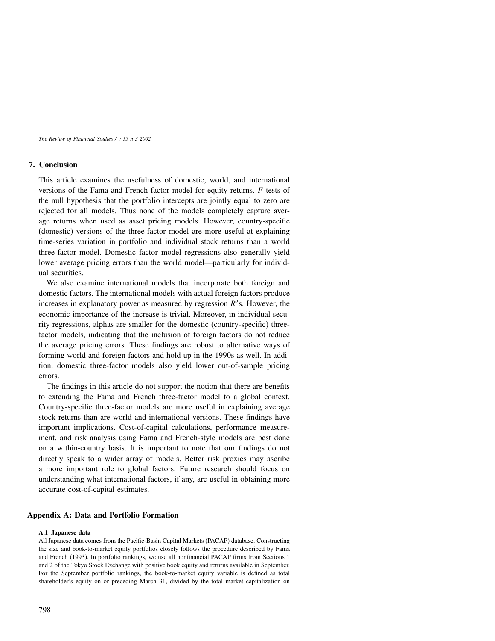## 7. Conclusion

This article examines the usefulness of domestic, world, and international versions of the Fama and French factor model for equity returns. F -tests of the null hypothesis that the portfolio intercepts are jointly equal to zero are rejected for all models. Thus none of the models completely capture average returns when used as asset pricing models. However, country-specific (domestic) versions of the three-factor model are more useful at explaining time-series variation in portfolio and individual stock returns than a world three-factor model. Domestic factor model regressions also generally yield lower average pricing errors than the world model—particularly for individual securities.

We also examine international models that incorporate both foreign and domestic factors. The international models with actual foreign factors produce increases in explanatory power as measured by regression  $R^2$ s. However, the economic importance of the increase is trivial. Moreover, in individual security regressions, alphas are smaller for the domestic (country-specific) threefactor models, indicating that the inclusion of foreign factors do not reduce the average pricing errors. These findings are robust to alternative ways of forming world and foreign factors and hold up in the 1990s as well. In addition, domestic three-factor models also yield lower out-of-sample pricing errors.

The findings in this article do not support the notion that there are benefits to extending the Fama and French three-factor model to a global context. Country-specific three-factor models are more useful in explaining average stock returns than are world and international versions. These findings have important implications. Cost-of-capital calculations, performance measurement, and risk analysis using Fama and French-style models are best done on a within-country basis. It is important to note that our findings do not directly speak to a wider array of models. Better risk proxies may ascribe a more important role to global factors. Future research should focus on understanding what international factors, if any, are useful in obtaining more accurate cost-of-capital estimates.

#### Appendix A: Data and Portfolio Formation

#### A.1 Japanese data

All Japanese data comes from the Pacific-Basin Capital Markets (PACAP) database. Constructing the size and book-to-market equity portfolios closely follows the procedure described by Fama and French (1993). In portfolio rankings, we use all nonfinancial PACAP firms from Sections 1 and 2 of the Tokyo Stock Exchange with positive book equity and returns available in September. For the September portfolio rankings, the book-to-market equity variable is defined as total shareholder's equity on or preceding March 31, divided by the total market capitalization on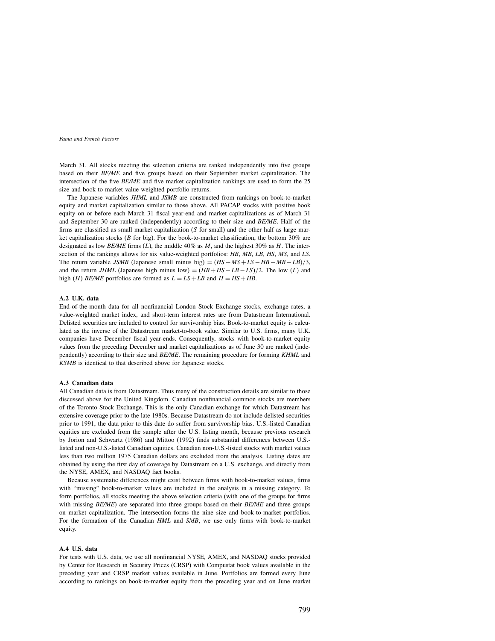March 31. All stocks meeting the selection criteria are ranked independently into five groups based on their *BE/ME* and five groups based on their September market capitalization. The intersection of the five *BE/ME* and five market capitalization rankings are used to form the 25 size and book-to-market value-weighted portfolio returns.

The Japanese variables *JHML* and *JSMB* are constructed from rankings on book-to-market equity and market capitalization similar to those above. All PACAP stocks with positive book equity on or before each March 31 fiscal year-end and market capitalizations as of March 31 and September 30 are ranked (independently) according to their size and *BE/ME*. Half of the firms are classified as small market capitalization  $(S$  for small) and the other half as large market capitalization stocks ( $B$  for big). For the book-to-market classification, the bottom 30% are designated as low *BE/ME* firms  $(L)$ , the middle 40% as *M*, and the highest 30% as *H*. The intersection of the rankings allows for six value-weighted portfolios: *HB*, *MB*, *LB*, *HS*, *MS*, and *LS*. The return variable *JSMB* (Japanese small minus big) =  $(HS + MS + LS - HB - MB - LB)/3$ , and the return *JHML* (Japanese high minus low) =  $(HB + HS - LB - LS)/2$ . The low (L) and high (*H*) *BE/ME* portfolios are formed as  $L = LS + LB$  and  $H = HS + HB$ .

#### A.2 U.K. data

End-of-the-month data for all nonfinancial London Stock Exchange stocks, exchange rates, a value-weighted market index, and short-term interest rates are from Datastream International. Delisted securities are included to control for survivorship bias. Book-to-market equity is calculated as the inverse of the Datastream market-to-book value. Similar to U.S. firms, many U.K. companies have December fiscal year-ends. Consequently, stocks with book-to-market equity values from the preceding December and market capitalizations as of June 30 are ranked (independently) according to their size and *BE/ME*. The remaining procedure for forming *KHML* and *KSMB* is identical to that described above for Japanese stocks.

#### A.3 Canadian data

All Canadian data is from Datastream. Thus many of the construction details are similar to those discussed above for the United Kingdom. Canadian nonfinancial common stocks are members of the Toronto Stock Exchange. This is the only Canadian exchange for which Datastream has extensive coverage prior to the late 1980s. Because Datastream do not include delisted securities prior to 1991, the data prior to this date do suffer from survivorship bias. U.S.-listed Canadian equities are excluded from the sample after the U.S. listing month, because previous research by Jorion and Schwartz (1986) and Mittoo (1992) finds substantial differences between U.S. listed and non-U.S.-listed Canadian equities. Canadian non-U.S.-listed stocks with market values less than two million 1975 Canadian dollars are excluded from the analysis. Listing dates are obtained by using the first day of coverage by Datastream on a U.S. exchange, and directly from the NYSE, AMEX, and NASDAQ fact books.

Because systematic differences might exist between firms with book-to-market values, firms with "missing" book-to-market values are included in the analysis in a missing category. To form portfolios, all stocks meeting the above selection criteria (with one of the groups for firms with missing *BE/ME*) are separated into three groups based on their *BE/ME* and three groups on market capitalization. The intersection forms the nine size and book-to-market portfolios. For the formation of the Canadian *HML* and *SMB*, we use only firms with book-to-market equity.

#### A.4 U.S. data

For tests with U.S. data, we use all nonfinancial NYSE, AMEX, and NASDAQ stocks provided by Center for Research in Security Prices (CRSP) with Compustat book values available in the preceding year and CRSP market values available in June. Portfolios are formed every June according to rankings on book-to-market equity from the preceding year and on June market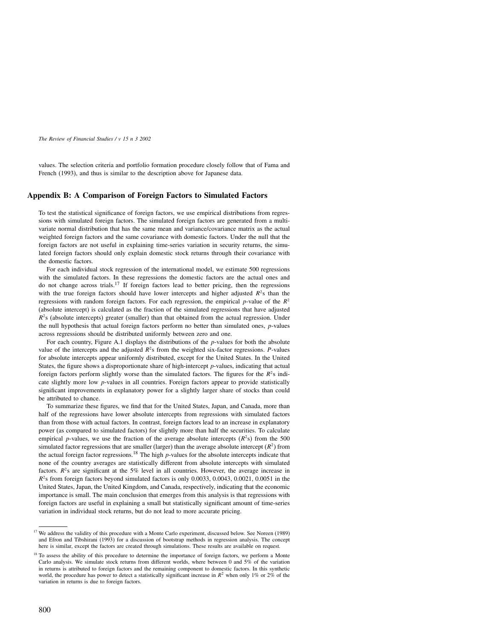values. The selection criteria and portfolio formation procedure closely follow that of Fama and French (1993), and thus is similar to the description above for Japanese data.

#### Appendix B: A Comparison of Foreign Factors to Simulated Factors

To test the statistical significance of foreign factors, we use empirical distributions from regressions with simulated foreign factors. The simulated foreign factors are generated from a multivariate normal distribution that has the same mean and variance/covariance matrix as the actual weighted foreign factors and the same covariance with domestic factors. Under the null that the foreign factors are not useful in explaining time-series variation in security returns, the simulated foreign factors should only explain domestic stock returns through their covariance with the domestic factors.

For each individual stock regression of the international model, we estimate 500 regressions with the simulated factors. In these regressions the domestic factors are the actual ones and do not change across trials.<sup>17</sup> If foreign factors lead to better pricing, then the regressions with the true foreign factors should have lower intercepts and higher adjusted  $R^2$ s than the regressions with random foreign factors. For each regression, the empirical p-value of the  $R^2$ (absolute intercept) is calculated as the fraction of the simulated regressions that have adjusted  $R<sup>2</sup>s$  (absolute intercepts) greater (smaller) than that obtained from the actual regression. Under the null hypothesis that actual foreign factors perform no better than simulated ones, p-values across regressions should be distributed uniformly between zero and one.

For each country, Figure A.1 displays the distributions of the  $p$ -values for both the absolute value of the intercepts and the adjusted  $R^2$ s from the weighted six-factor regressions. P-values for absolute intercepts appear uniformly distributed, except for the United States. In the United States, the figure shows a disproportionate share of high-intercept p-values, indicating that actual foreign factors perform slightly worse than the simulated factors. The figures for the  $R^2$ s indicate slightly more low p-values in all countries. Foreign factors appear to provide statistically significant improvements in explanatory power for a slightly larger share of stocks than could be attributed to chance.

To summarize these figures, we find that for the United States, Japan, and Canada, more than half of the regressions have lower absolute intercepts from regressions with simulated factors than from those with actual factors. In contrast, foreign factors lead to an increase in explanatory power (as compared to simulated factors) for slightly more than half the securities. To calculate empirical p-values, we use the fraction of the average absolute intercepts  $(R<sup>2</sup>s)$  from the 500 simulated factor regressions that are smaller (larger) than the average absolute intercept  $(R^2)$  from the actual foreign factor regressions.<sup>18</sup> The high  $p$ -values for the absolute intercepts indicate that none of the country averages are statistically different from absolute intercepts with simulated factors.  $R^2$ s are significant at the 5% level in all countries. However, the average increase in  $R<sup>2</sup>$ s from foreign factors beyond simulated factors is only 0.0033, 0.0043, 0.0021, 0.0051 in the United States, Japan, the United Kingdom, and Canada, respectively, indicating that the economic importance is small. The main conclusion that emerges from this analysis is that regressions with foreign factors are useful in explaining a small but statistically significant amount of time-series variation in individual stock returns, but do not lead to more accurate pricing.

<sup>&</sup>lt;sup>17</sup> We address the validity of this procedure with a Monte Carlo experiment, discussed below. See Noreen (1989) and Efron and Tibshirani (1993) for a discussion of bootstrap methods in regression analysis. The concept here is similar, except the factors are created through simulations. These results are available on request.

<sup>&</sup>lt;sup>18</sup> To assess the ability of this procedure to determine the importance of foreign factors, we perform a Monte Carlo analysis. We simulate stock returns from different worlds, where between 0 and 5% of the variation in returns is attributed to foreign factors and the remaining component to domestic factors. In this synthetic world, the procedure has power to detect a statistically significant increase in  $R^2$  when only 1% or 2% of the variation in returns is due to foreign factors.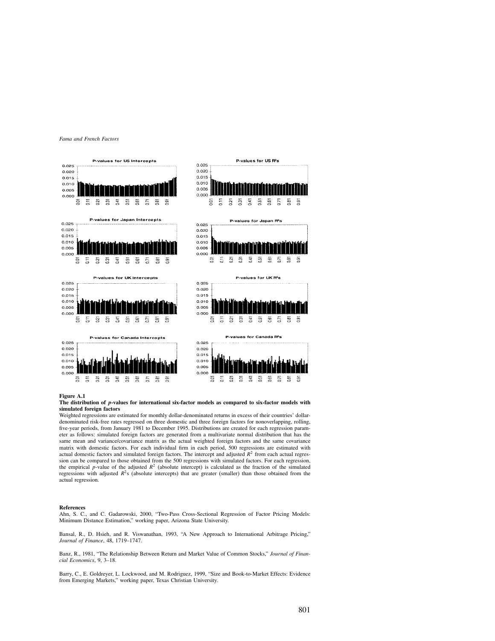

#### Figure A.1

#### The distribution of p-values for international six-factor models as compared to six-factor models with simulated foreign factors

Weighted regressions are estimated for monthly dollar-denominated returns in excess of their countries' dollardenominated risk-free rates regressed on three domestic and three foreign factors for nonoverlapping, rolling, five-year periods, from January 1981 to December 1995. Distributions are created for each regression parameter as follows: simulated foreign factors are generated from a multivariate normal distribution that has the same mean and variance/covariance matrix as the actual weighted foreign factors and the same covariance matrix with domestic factors. For each individual firm in each period, 500 regressions are estimated with actual domestic factors and simulated foreign factors. The intercept and adjusted  $R<sup>2</sup>$  from each actual regression can be compared to those obtained from the 500 regressions with simulated factors. For each regression, the empirical p-value of the adjusted  $R^2$  (absolute intercept) is calculated as the fraction of the simulated regressions with adjusted  $R^2$ s (absolute intercepts) that are greater (smaller) than those obtained from the actual regression.

#### References

Ahn, S. C., and C. Gadarowski, 2000, "Two-Pass Cross-Sectional Regression of Factor Pricing Models: Minimum Distance Estimation," working paper, Arizona State University.

Bansal, R., D. Hsieh, and R. Viswanathan, 1993, "A New Approach to International Arbitrage Pricing," *Journal of Finance*, 48, 1719–1747.

Banz, R., 1981, "The Relationship Between Return and Market Value of Common Stocks," *Journal of Financial Economics*, 9, 3–18.

Barry, C., E. Goldreyer, L. Lockwood, and M. Rodriguez, 1999, "Size and Book-to-Market Effects: Evidence from Emerging Markets," working paper, Texas Christian University.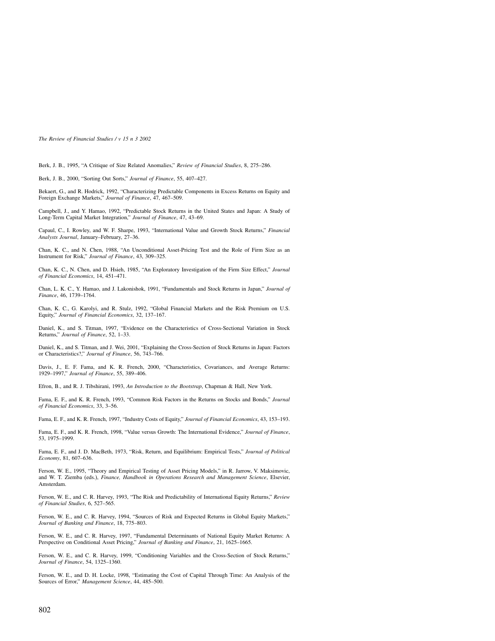Berk, J. B., 1995, "A Critique of Size Related Anomalies," *Review of Financial Studies*, 8, 275–286.

Berk, J. B., 2000, "Sorting Out Sorts," *Journal of Finance*, 55, 407–427.

Bekaert, G., and R. Hodrick, 1992, "Characterizing Predictable Components in Excess Returns on Equity and Foreign Exchange Markets," *Journal of Finance*, 47, 467–509.

Campbell, J., and Y. Hamao, 1992, "Predictable Stock Returns in the United States and Japan: A Study of Long-Term Capital Market Integration," *Journal of Finance*, 47, 43–69.

Capaul, C., I. Rowley, and W. F. Sharpe, 1993, "International Value and Growth Stock Returns," *Financial Analysts Journal*, January–February, 27–36.

Chan, K. C., and N. Chen, 1988, "An Unconditional Asset-Pricing Test and the Role of Firm Size as an Instrument for Risk," *Journal of Finance*, 43, 309–325.

Chan, K. C., N. Chen, and D. Hsieh, 1985, "An Exploratory Investigation of the Firm Size Effect," *Journal of Financial Economics*, 14, 451–471.

Chan, L. K. C., Y. Hamao, and J. Lakonishok, 1991, "Fundamentals and Stock Returns in Japan," *Journal of Finance*, 46, 1739–1764.

Chan, K. C., G. Karolyi, and R. Stulz, 1992, "Global Financial Markets and the Risk Premium on U.S. Equity," *Journal of Financial Economics*, 32, 137–167.

Daniel, K., and S. Titman, 1997, "Evidence on the Characteristics of Cross-Sectional Variation in Stock Returns," *Journal of Finance*, 52, 1–33.

Daniel, K., and S. Titman, and J. Wei, 2001, "Explaining the Cross-Section of Stock Returns in Japan: Factors or Characteristics?," *Journal of Finance*, 56, 743–766.

Davis, J., E. F. Fama, and K. R. French, 2000, "Characteristics, Covariances, and Average Returns: 1929–1997," *Journal of Finance*, 55, 389–406.

Efron, B., and R. J. Tibshirani, 1993, *An Introduction to the Bootstrap*, Chapman & Hall, New York.

Fama, E. F., and K. R. French, 1993, "Common Risk Factors in the Returns on Stocks and Bonds," *Journal of Financial Economics*, 33, 3–56.

Fama, E. F., and K. R. French, 1997, "Industry Costs of Equity," *Journal of Financial Economics*, 43, 153–193.

Fama, E. F., and K. R. French, 1998, "Value versus Growth: The International Evidence," *Journal of Finance*, 53, 1975–1999.

Fama, E. F., and J. D. MacBeth, 1973, "Risk, Return, and Equilibrium: Empirical Tests," *Journal of Political Economy*, 81, 607–636.

Ferson, W. E., 1995, "Theory and Empirical Testing of Asset Pricing Models," in R. Jarrow, V. Maksimovic, and W. T. Ziemba (eds.), *Finance, Handbook in Operations Research and Management Science*, Elsevier, Amsterdam.

Ferson, W. E., and C. R. Harvey, 1993, "The Risk and Predictability of International Equity Returns," *Review of Financial Studies*, 6, 527–565.

Ferson, W. E., and C. R. Harvey, 1994, "Sources of Risk and Expected Returns in Global Equity Markets," *Journal of Banking and Finance*, 18, 775–803.

Ferson, W. E., and C. R. Harvey, 1997, "Fundamental Determinants of National Equity Market Returns: A Perspective on Conditional Asset Pricing," *Journal of Banking and Finance*, 21, 1625–1665.

Ferson, W. E., and C. R. Harvey, 1999, "Conditioning Variables and the Cross-Section of Stock Returns," *Journal of Finance*, 54, 1325–1360.

Ferson, W. E., and D. H. Locke, 1998, "Estimating the Cost of Capital Through Time: An Analysis of the Sources of Error," *Management Science*, 44, 485–500.